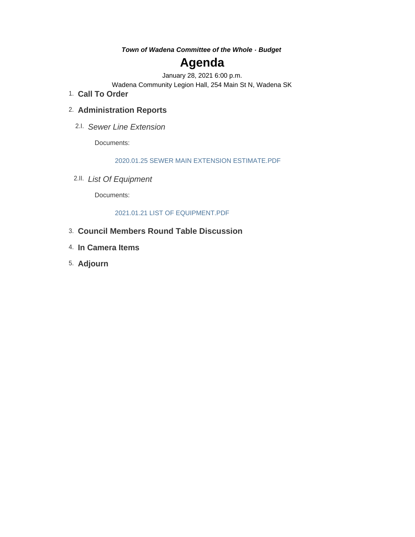*Town of Wadena Committee of the Whole - Budget*

# **Agenda**

January 28, 2021 6:00 p.m.

Wadena Community Legion Hall, 254 Main St N, Wadena SK

**Call To Order** 1.

### **Administration Reports** 2.

*Sewer Line Extension* 2.I.

Documents:

2020.01.25 SEWER MAIN EXTENSION ESTIMATE.PDF

*List Of Equipment* 2.II.

Documents:

### 2021.01.21 LIST OF EQUIPMENT.PDF

- **Council Members Round Table Discussion** 3.
- **In Camera Items** 4.
- **Adjourn** 5.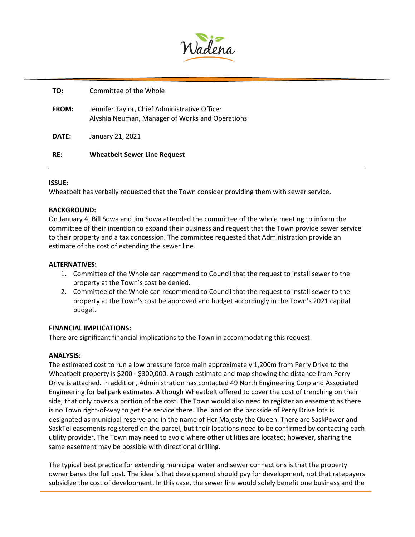

| RF:          | <b>Wheatbelt Sewer Line Request</b>                                                              |
|--------------|--------------------------------------------------------------------------------------------------|
| DATE:        | January 21, 2021                                                                                 |
| <b>FROM:</b> | Jennifer Taylor, Chief Administrative Officer<br>Alyshia Neuman, Manager of Works and Operations |
| TO:          | Committee of the Whole                                                                           |

### **ISSUE:**

Wheatbelt has verbally requested that the Town consider providing them with sewer service.

### **BACKGROUND:**

On January 4, Bill Sowa and Jim Sowa attended the committee of the whole meeting to inform the committee of their intention to expand their business and request that the Town provide sewer service to their property and a tax concession. The committee requested that Administration provide an estimate of the cost of extending the sewer line.

### **ALTERNATIVES:**

- 1. Committee of the Whole can recommend to Council that the request to install sewer to the property at the Town's cost be denied.
- 2. Committee of the Whole can recommend to Council that the request to install sewer to the property at the Town's cost be approved and budget accordingly in the Town's 2021 capital budget.

### **FINANCIAL IMPLICATIONS:**

There are significant financial implications to the Town in accommodating this request.

### **ANALYSIS:**

The estimated cost to run a low pressure force main approximately 1,200m from Perry Drive to the Wheatbelt property is \$200 - \$300,000. A rough estimate and map showing the distance from Perry Drive is attached. In addition, Administration has contacted 49 North Engineering Corp and Associated Engineering for ballpark estimates. Although Wheatbelt offered to cover the cost of trenching on their side, that only covers a portion of the cost. The Town would also need to register an easement as there is no Town right-of-way to get the service there. The land on the backside of Perry Drive lots is designated as municipal reserve and in the name of Her Majesty the Queen. There are SaskPower and SaskTel easements registered on the parcel, but their locations need to be confirmed by contacting each utility provider. The Town may need to avoid where other utilities are located; however, sharing the same easement may be possible with directional drilling.

The typical best practice for extending municipal water and sewer connections is that the property owner bares the full cost. The idea is that development should pay for development, not that ratepayers subsidize the cost of development. In this case, the sewer line would solely benefit one business and the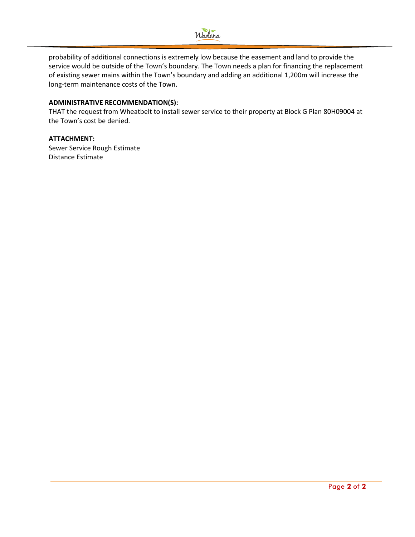

probability of additional connections is extremely low because the easement and land to provide the service would be outside of the Town's boundary. The Town needs a plan for financing the replacement of existing sewer mains within the Town's boundary and adding an additional 1,200m will increase the long-term maintenance costs of the Town.

### **ADMINISTRATIVE RECOMMENDATION(S):**

THAT the request from Wheatbelt to install sewer service to their property at Block G Plan 80H09004 at the Town's cost be denied.

### **ATTACHMENT:**

Sewer Service Rough Estimate Distance Estimate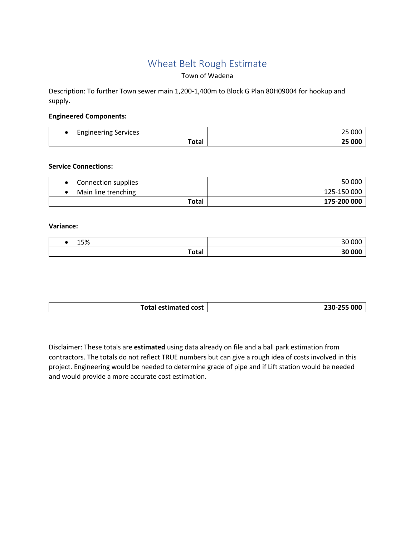## Wheat Belt Rough Estimate

### Town of Wadena

Description: To further Town sewer main 1,200-1,400m to Block G Plan 80H09004 for hookup and supply.

### **Engineered Components:**

| -<br>Services<br>-noineerino<br>-- |  |
|------------------------------------|--|
| <b>Lata</b><br>∙ula.               |  |

### **Service Connections:**

| Connection supplies | 50 000      |
|---------------------|-------------|
| Main line trenching | 125-150 000 |
| Total               | 175-200 000 |

### **Variance:**

| F <sub>0</sub><br><b>T220</b> | 000    |
|-------------------------------|--------|
| Total                         | 30 000 |

| <b>Total estimated cost</b> | 230-255 000 |
|-----------------------------|-------------|
|                             |             |

Disclaimer: These totals are **estimated** using data already on file and a ball park estimation from contractors. The totals do not reflect TRUE numbers but can give a rough idea of costs involved in this project. Engineering would be needed to determine grade of pipe and if Lift station would be needed and would provide a more accurate cost estimation.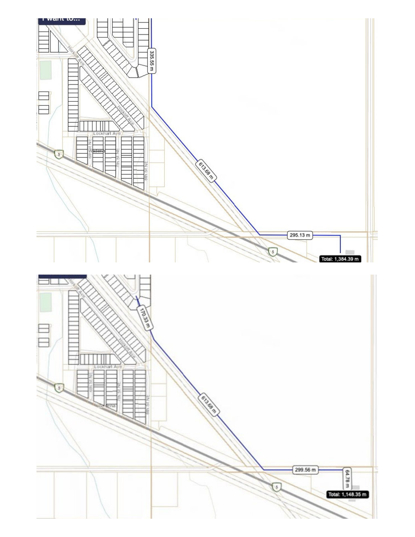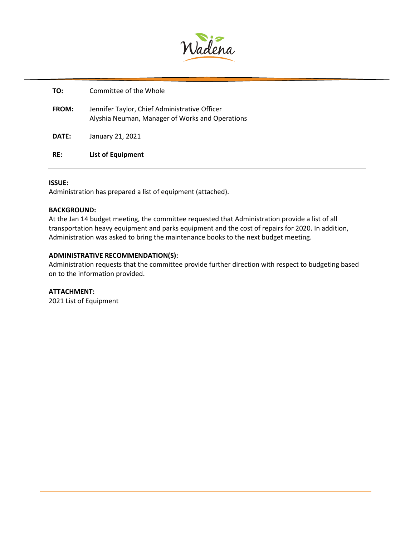

| TO:   | Committee of the Whole                                                                           |
|-------|--------------------------------------------------------------------------------------------------|
| FROM: | Jennifer Taylor, Chief Administrative Officer<br>Alyshia Neuman, Manager of Works and Operations |
| DATE: | January 21, 2021                                                                                 |
| RE:   | <b>List of Equipment</b>                                                                         |

### **ISSUE:**

Administration has prepared a list of equipment (attached).

### **BACKGROUND:**

At the Jan 14 budget meeting, the committee requested that Administration provide a list of all transportation heavy equipment and parks equipment and the cost of repairs for 2020. In addition, Administration was asked to bring the maintenance books to the next budget meeting.

### **ADMINISTRATIVE RECOMMENDATION(S):**

Administration requests that the committee provide further direction with respect to budgeting based on to the information provided.

### **ATTACHMENT:**

2021 List of Equipment